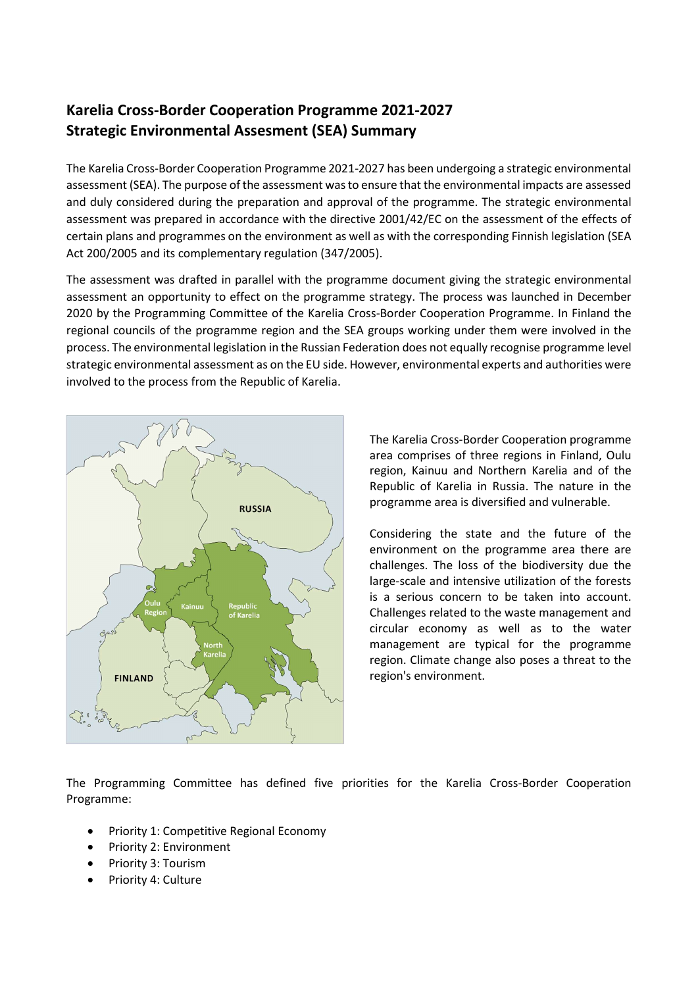## Karelia Cross-Border Cooperation Programme 2021-2027 Strategic Environmental Assesment (SEA) Summary

The Karelia Cross-Border Cooperation Programme 2021-2027 has been undergoing a strategic environmental assessment (SEA). The purpose of the assessment was to ensure that the environmental impacts are assessed and duly considered during the preparation and approval of the programme. The strategic environmental assessment was prepared in accordance with the directive 2001/42/EC on the assessment of the effects of certain plans and programmes on the environment as well as with the corresponding Finnish legislation (SEA Act 200/2005 and its complementary regulation (347/2005).

The assessment was drafted in parallel with the programme document giving the strategic environmental assessment an opportunity to effect on the programme strategy. The process was launched in December 2020 by the Programming Committee of the Karelia Cross-Border Cooperation Programme. In Finland the regional councils of the programme region and the SEA groups working under them were involved in the process. The environmental legislation in the Russian Federation does not equally recognise programme level strategic environmental assessment as on the EU side. However, environmental experts and authorities were involved to the process from the Republic of Karelia.



The Karelia Cross-Border Cooperation programme area comprises of three regions in Finland, Oulu region, Kainuu and Northern Karelia and of the Republic of Karelia in Russia. The nature in the programme area is diversified and vulnerable.

Considering the state and the future of the environment on the programme area there are challenges. The loss of the biodiversity due the large-scale and intensive utilization of the forests is a serious concern to be taken into account. Challenges related to the waste management and circular economy as well as to the water management are typical for the programme region. Climate change also poses a threat to the region's environment.

The Programming Committee has defined five priorities for the Karelia Cross-Border Cooperation Programme:

- Priority 1: Competitive Regional Economy
- Priority 2: Environment
- Priority 3: Tourism
- Priority 4: Culture